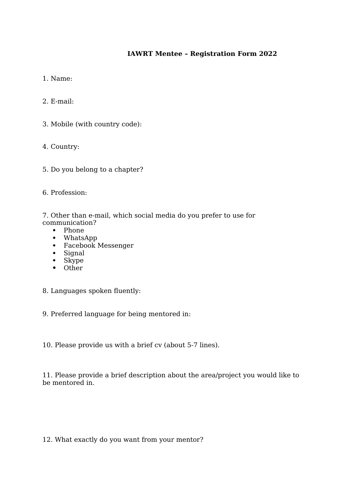## **IAWRT Mentee – Registration Form 2022**

1. Name:

2. E-mail:

3. Mobile (with country code):

4. Country:

5. Do you belong to a chapter?

6. Profession:

7. Other than e-mail, which social media do you prefer to use for communication?

- Phone
- WhatsApp
- Facebook Messenger
- Signal
- Skype
- Other
- 8. Languages spoken fluently:

9. Preferred language for being mentored in:

10. Please provide us with a brief cv (about 5-7 lines).

11. Please provide a brief description about the area/project you would like to be mentored in.

12. What exactly do you want from your mentor?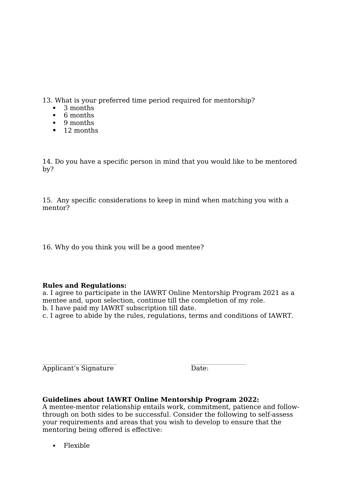13. What is your preferred time period required for mentorship?

- $\bullet$  3 months
- 6 months
- 9 months
- 12 months

14. Do you have a specific person in mind that you would like to be mentored by?

15. Any specific considerations to keep in mind when matching you with a mentor?

16. Why do you think you will be a good mentee?

## **Rules and Regulations:**

a. I agree to participate in the IAWRT Online Mentorship Program 2021 as a mentee and, upon selection, continue till the completion of my role. b. I have paid my IAWRT subscription till date.

c. I agree to abide by the rules, regulations, terms and conditions of IAWRT.

 $\mathcal{L}_\text{max}$  and  $\mathcal{L}_\text{max}$  and  $\mathcal{L}_\text{max}$  and  $\mathcal{L}_\text{max}$ Applicant's Signature Date:

## **Guidelines about IAWRT Online Mentorship Program 2022:**

A mentee-mentor relationship entails work, commitment, patience and followthrough on both sides to be successful. Consider the following to self-assess your requirements and areas that you wish to develop to ensure that the mentoring being offered is effective:

Flexible